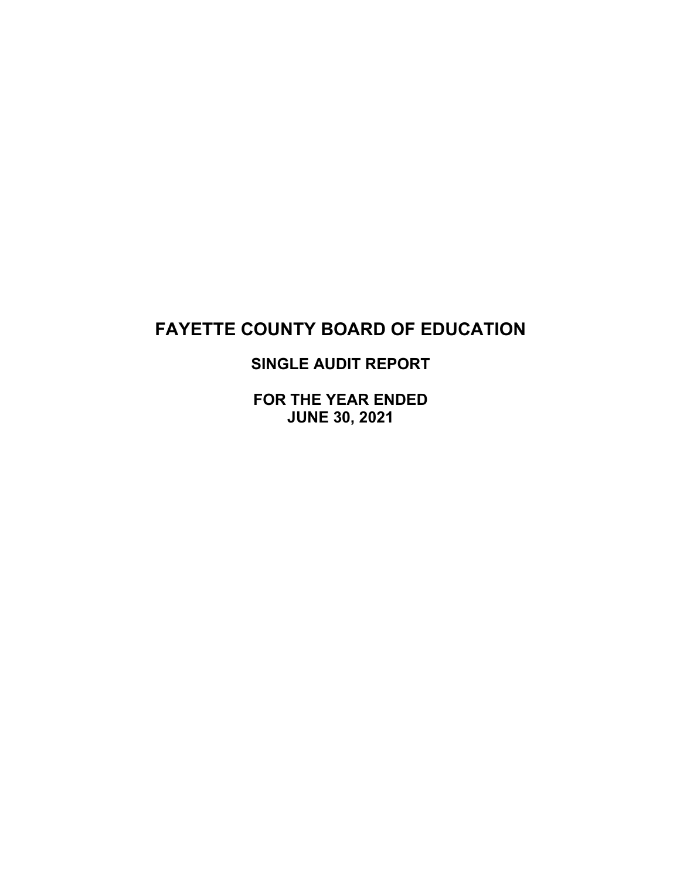# **SINGLE AUDIT REPORT**

**FOR THE YEAR ENDED JUNE 30, 2021**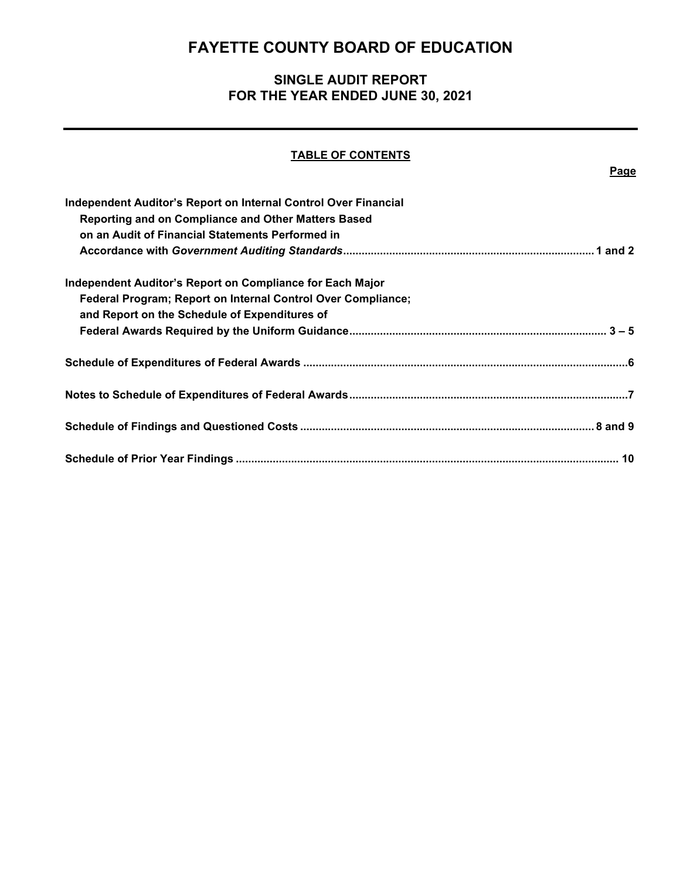# **SINGLE AUDIT REPORT FOR THE YEAR ENDED JUNE 30, 2021**

## **TABLE OF CONTENTS**

**Page**

| Independent Auditor's Report on Internal Control Over Financial |
|-----------------------------------------------------------------|
| Reporting and on Compliance and Other Matters Based             |
| on an Audit of Financial Statements Performed in                |
|                                                                 |
| Independent Auditor's Report on Compliance for Each Major       |
| Federal Program; Report on Internal Control Over Compliance;    |
| and Report on the Schedule of Expenditures of                   |
|                                                                 |
|                                                                 |
|                                                                 |
|                                                                 |
|                                                                 |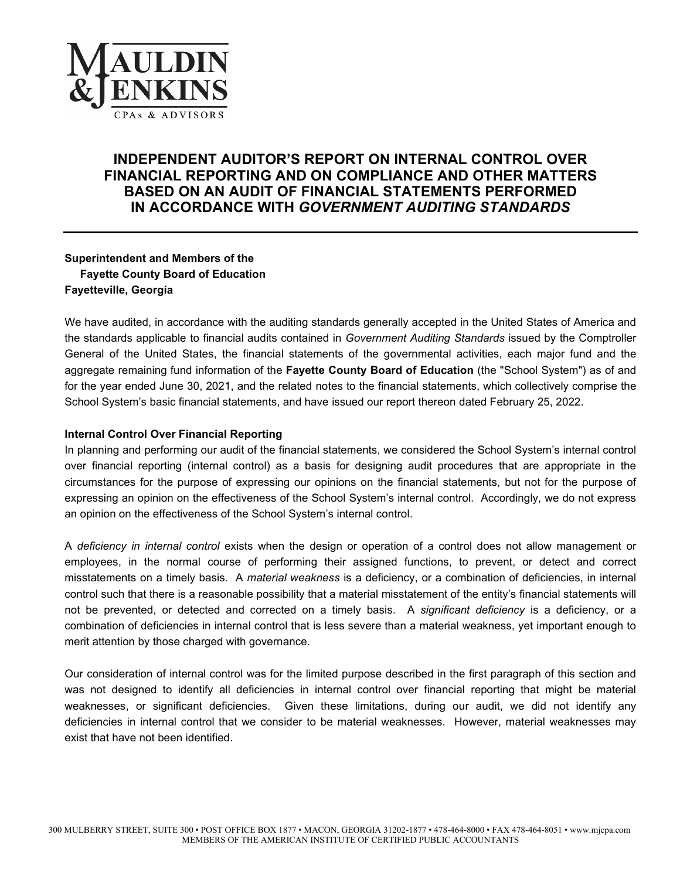

## **INDEPENDENT AUDITOR'S REPORT ON INTERNAL CONTROL OVER FINANCIAL REPORTING AND ON COMPLIANCE AND OTHER MATTERS BASED ON AN AUDIT OF FINANCIAL STATEMENTS PERFORMED IN ACCORDANCE WITH** *GOVERNMENT AUDITING STANDARDS*

## **Superintendent and Members of the Fayette County Board of Education Fayetteville, Georgia**

We have audited, in accordance with the auditing standards generally accepted in the United States of America and the standards applicable to financial audits contained in *Government Auditing Standards* issued by the Comptroller General of the United States, the financial statements of the governmental activities, each major fund and the aggregate remaining fund information of the **Fayette County Board of Education** (the "School System") as of and for the year ended June 30, 2021, and the related notes to the financial statements, which collectively comprise the School System's basic financial statements, and have issued our report thereon dated February 25, 2022.

#### **Internal Control Over Financial Reporting**

In planning and performing our audit of the financial statements, we considered the School System's internal control over financial reporting (internal control) as a basis for designing audit procedures that are appropriate in the circumstances for the purpose of expressing our opinions on the financial statements, but not for the purpose of expressing an opinion on the effectiveness of the School System's internal control. Accordingly, we do not express an opinion on the effectiveness of the School System's internal control.

A *deficiency in internal control* exists when the design or operation of a control does not allow management or employees, in the normal course of performing their assigned functions, to prevent, or detect and correct misstatements on a timely basis. A *material weakness* is a deficiency, or a combination of deficiencies, in internal control such that there is a reasonable possibility that a material misstatement of the entity's financial statements will not be prevented, or detected and corrected on a timely basis. A *significant deficiency* is a deficiency, or a combination of deficiencies in internal control that is less severe than a material weakness, yet important enough to merit attention by those charged with governance.

Our consideration of internal control was for the limited purpose described in the first paragraph of this section and was not designed to identify all deficiencies in internal control over financial reporting that might be material weaknesses, or significant deficiencies. Given these limitations, during our audit, we did not identify any deficiencies in internal control that we consider to be material weaknesses. However, material weaknesses may exist that have not been identified.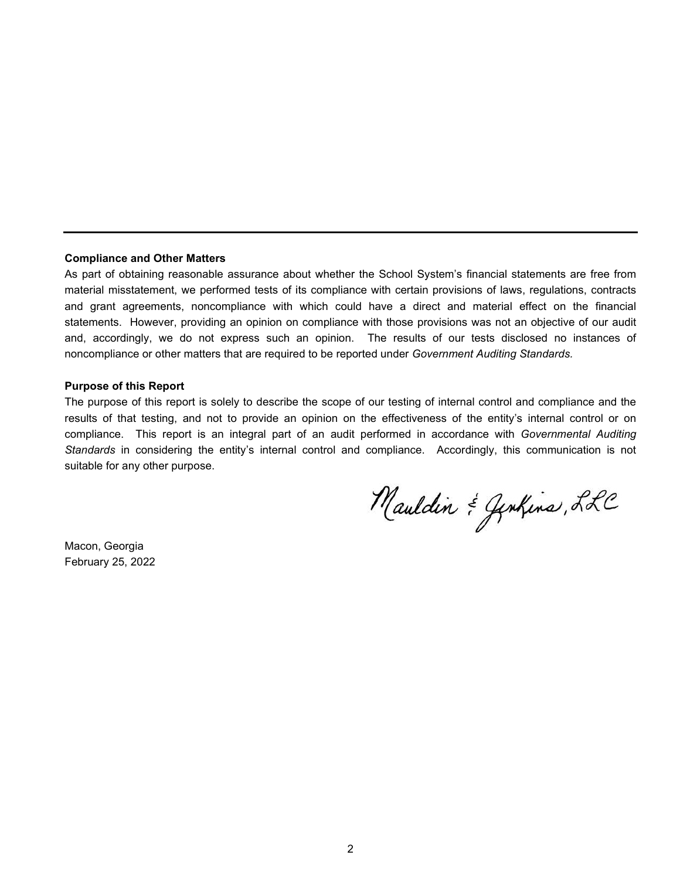#### **Compliance and Other Matters**

As part of obtaining reasonable assurance about whether the School System's financial statements are free from material misstatement, we performed tests of its compliance with certain provisions of laws, regulations, contracts and grant agreements, noncompliance with which could have a direct and material effect on the financial statements. However, providing an opinion on compliance with those provisions was not an objective of our audit and, accordingly, we do not express such an opinion. The results of our tests disclosed no instances of noncompliance or other matters that are required to be reported under *Government Auditing Standards.*

#### **Purpose of this Report**

The purpose of this report is solely to describe the scope of our testing of internal control and compliance and the results of that testing, and not to provide an opinion on the effectiveness of the entity's internal control or on compliance. This report is an integral part of an audit performed in accordance with *Governmental Auditing Standards* in considering the entity's internal control and compliance. Accordingly, this communication is not suitable for any other purpose.

Mauldin & Genhins, LLC

Macon, Georgia February 25, 2022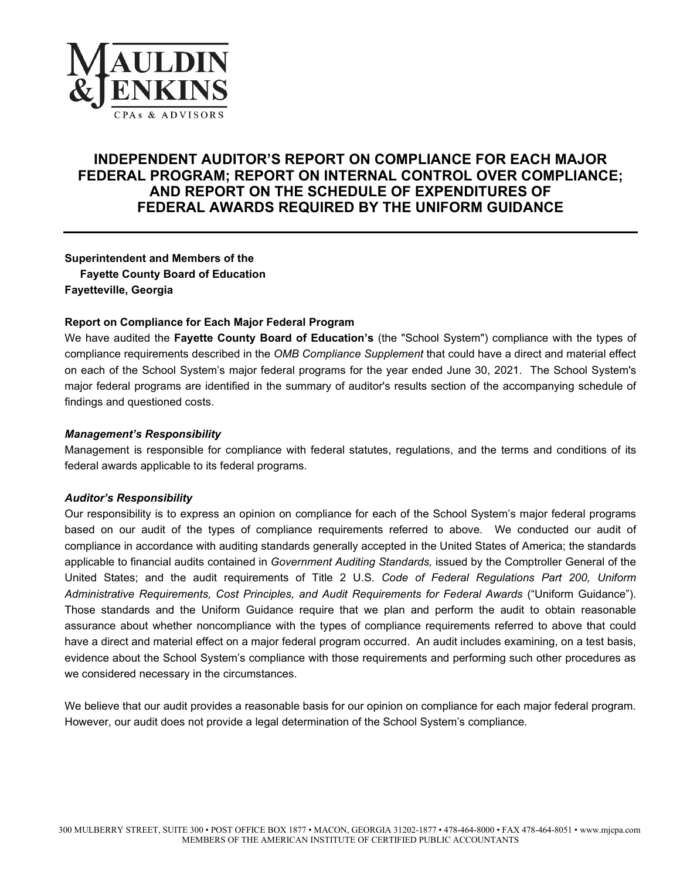

## **INDEPENDENT AUDITOR'S REPORT ON COMPLIANCE FOR EACH MAJOR FEDERAL PROGRAM; REPORT ON INTERNAL CONTROL OVER COMPLIANCE; AND REPORT ON THE SCHEDULE OF EXPENDITURES OF FEDERAL AWARDS REQUIRED BY THE UNIFORM GUIDANCE**

**Superintendent and Members of the Fayette County Board of Education Fayetteville, Georgia**

#### **Report on Compliance for Each Major Federal Program**

We have audited the **Fayette County Board of Education's** (the "School System") compliance with the types of compliance requirements described in the *OMB Compliance Supplement* that could have a direct and material effect on each of the School System's major federal programs for the year ended June 30, 2021. The School System's major federal programs are identified in the summary of auditor's results section of the accompanying schedule of findings and questioned costs.

#### *Management's Responsibility*

Management is responsible for compliance with federal statutes, regulations, and the terms and conditions of its federal awards applicable to its federal programs.

#### *Auditor's Responsibility*

Our responsibility is to express an opinion on compliance for each of the School System's major federal programs based on our audit of the types of compliance requirements referred to above. We conducted our audit of compliance in accordance with auditing standards generally accepted in the United States of America; the standards applicable to financial audits contained in *Government Auditing Standards,* issued by the Comptroller General of the United States; and the audit requirements of Title 2 U.S. *Code of Federal Regulations Part 200, Uniform Administrative Requirements, Cost Principles, and Audit Requirements for Federal Awards* ("Uniform Guidance"). Those standards and the Uniform Guidance require that we plan and perform the audit to obtain reasonable assurance about whether noncompliance with the types of compliance requirements referred to above that could have a direct and material effect on a major federal program occurred. An audit includes examining, on a test basis, evidence about the School System's compliance with those requirements and performing such other procedures as we considered necessary in the circumstances.

We believe that our audit provides a reasonable basis for our opinion on compliance for each major federal program. However, our audit does not provide a legal determination of the School System's compliance.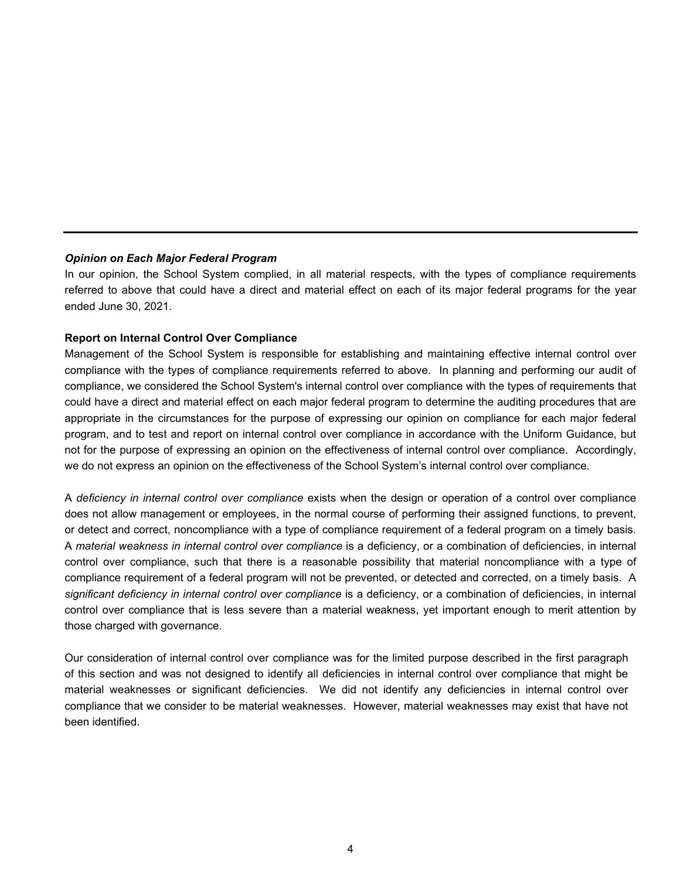#### *Opinion on Each Major Federal Program*

In our opinion, the School System complied, in all material respects, with the types of compliance requirements referred to above that could have a direct and material effect on each of its major federal programs for the year ended June 30, 2021.

#### **Report on Internal Control Over Compliance**

Management of the School System is responsible for establishing and maintaining effective internal control over compliance with the types of compliance requirements referred to above. In planning and performing our audit of compliance, we considered the School System's internal control over compliance with the types of requirements that could have a direct and material effect on each major federal program to determine the auditing procedures that are appropriate in the circumstances for the purpose of expressing our opinion on compliance for each major federal program, and to test and report on internal control over compliance in accordance with the Uniform Guidance, but not for the purpose of expressing an opinion on the effectiveness of internal control over compliance. Accordingly, we do not express an opinion on the effectiveness of the School System's internal control over compliance.

A *deficiency in internal control over compliance* exists when the design or operation of a control over compliance does not allow management or employees, in the normal course of performing their assigned functions, to prevent, or detect and correct, noncompliance with a type of compliance requirement of a federal program on a timely basis. A *material weakness in internal control over compliance* is a deficiency, or a combination of deficiencies, in internal control over compliance, such that there is a reasonable possibility that material noncompliance with a type of compliance requirement of a federal program will not be prevented, or detected and corrected, on a timely basis. A *significant deficiency in internal control over compliance* is a deficiency, or a combination of deficiencies, in internal control over compliance that is less severe than a material weakness, yet important enough to merit attention by those charged with governance.

Our consideration of internal control over compliance was for the limited purpose described in the first paragraph of this section and was not designed to identify all deficiencies in internal control over compliance that might be material weaknesses or significant deficiencies. We did not identify any deficiencies in internal control over compliance that we consider to be material weaknesses. However, material weaknesses may exist that have not been identified.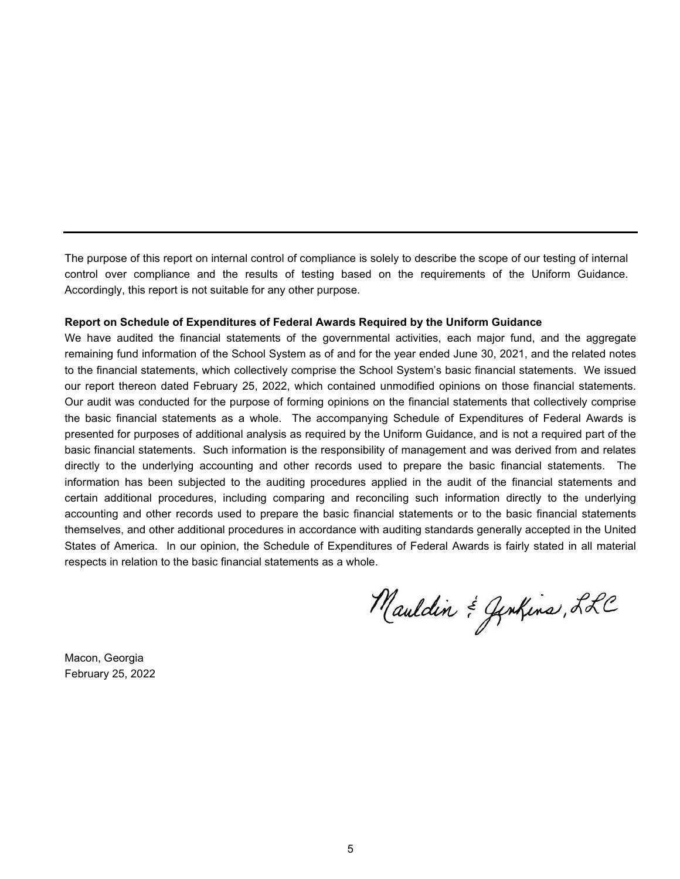The purpose of this report on internal control of compliance is solely to describe the scope of our testing of internal control over compliance and the results of testing based on the requirements of the Uniform Guidance. Accordingly, this report is not suitable for any other purpose.

#### **Report on Schedule of Expenditures of Federal Awards Required by the Uniform Guidance**

We have audited the financial statements of the governmental activities, each major fund, and the aggregate remaining fund information of the School System as of and for the year ended June 30, 2021, and the related notes to the financial statements, which collectively comprise the School System's basic financial statements. We issued our report thereon dated February 25, 2022, which contained unmodified opinions on those financial statements. Our audit was conducted for the purpose of forming opinions on the financial statements that collectively comprise the basic financial statements as a whole. The accompanying Schedule of Expenditures of Federal Awards is presented for purposes of additional analysis as required by the Uniform Guidance, and is not a required part of the basic financial statements. Such information is the responsibility of management and was derived from and relates directly to the underlying accounting and other records used to prepare the basic financial statements. The information has been subjected to the auditing procedures applied in the audit of the financial statements and certain additional procedures, including comparing and reconciling such information directly to the underlying accounting and other records used to prepare the basic financial statements or to the basic financial statements themselves, and other additional procedures in accordance with auditing standards generally accepted in the United States of America. In our opinion, the Schedule of Expenditures of Federal Awards is fairly stated in all material respects in relation to the basic financial statements as a whole.

Mauldin & Genhins, LLC

Macon, Georgia February 25, 2022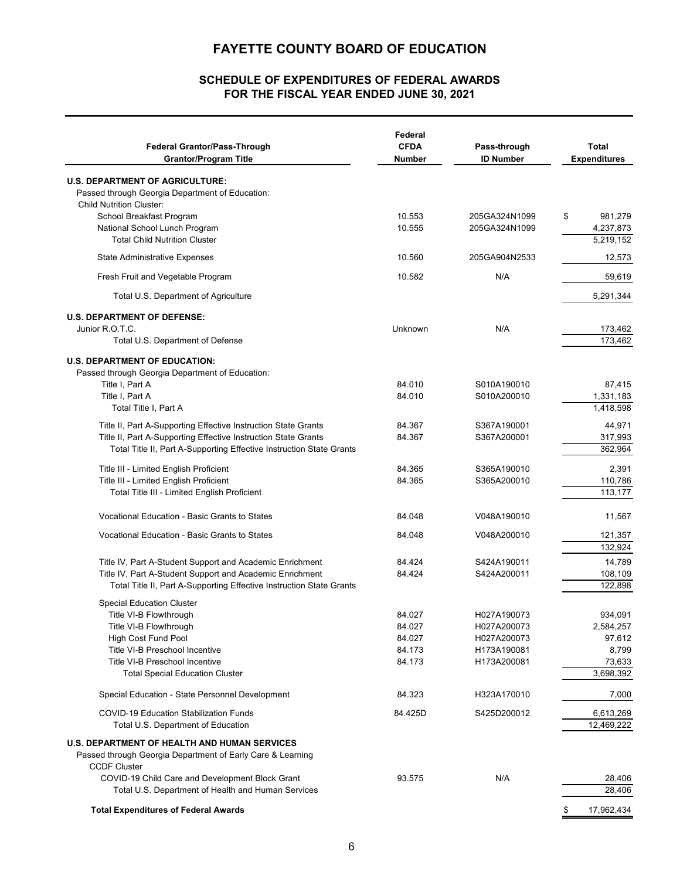### **FOR THE FISCAL YEAR ENDED JUNE 30, 2021 SCHEDULE OF EXPENDITURES OF FEDERAL AWARDS**

| <b>Federal Grantor/Pass-Through</b><br><b>Grantor/Program Title</b>                                                              | Federal<br><b>CFDA</b><br>Number | Pass-through<br><b>ID Number</b> | <b>Total</b><br><b>Expenditures</b> |
|----------------------------------------------------------------------------------------------------------------------------------|----------------------------------|----------------------------------|-------------------------------------|
| <b>U.S. DEPARTMENT OF AGRICULTURE:</b>                                                                                           |                                  |                                  |                                     |
| Passed through Georgia Department of Education:<br><b>Child Nutrition Cluster:</b>                                               |                                  |                                  |                                     |
| School Breakfast Program                                                                                                         | 10.553                           | 205GA324N1099                    | 981,279<br>\$                       |
| National School Lunch Program                                                                                                    | 10.555                           | 205GA324N1099                    | 4,237,873                           |
| <b>Total Child Nutrition Cluster</b>                                                                                             |                                  |                                  | 5,219,152                           |
| <b>State Administrative Expenses</b>                                                                                             | 10.560                           | 205GA904N2533                    | 12,573                              |
| Fresh Fruit and Vegetable Program                                                                                                | 10.582                           | N/A                              | 59,619                              |
| Total U.S. Department of Agriculture                                                                                             |                                  |                                  | 5,291,344                           |
| <b>U.S. DEPARTMENT OF DEFENSE:</b>                                                                                               |                                  |                                  |                                     |
| Junior R.O.T.C.                                                                                                                  | Unknown                          | N/A                              | 173,462                             |
| Total U.S. Department of Defense                                                                                                 |                                  |                                  | 173,462                             |
| <b>U.S. DEPARTMENT OF EDUCATION:</b><br>Passed through Georgia Department of Education:                                          |                                  |                                  |                                     |
| Title I, Part A                                                                                                                  | 84.010                           | S010A190010                      | 87,415                              |
| Title I, Part A                                                                                                                  | 84.010                           | S010A200010                      | 1,331,183                           |
| Total Title I, Part A                                                                                                            |                                  |                                  | 1,418,598                           |
| Title II, Part A-Supporting Effective Instruction State Grants<br>Title II, Part A-Supporting Effective Instruction State Grants | 84.367                           | S367A190001                      | 44,971<br>317,993                   |
| Total Title II, Part A-Supporting Effective Instruction State Grants                                                             | 84.367                           | S367A200001                      | 362,964                             |
|                                                                                                                                  | 84.365                           |                                  |                                     |
| Title III - Limited English Proficient<br>Title III - Limited English Proficient                                                 | 84.365                           | S365A190010<br>S365A200010       | 2,391<br>110,786                    |
| Total Title III - Limited English Proficient                                                                                     |                                  |                                  | 113,177                             |
| Vocational Education - Basic Grants to States                                                                                    | 84.048                           | V048A190010                      | 11,567                              |
| Vocational Education - Basic Grants to States                                                                                    | 84.048                           | V048A200010                      | 121,357                             |
|                                                                                                                                  |                                  |                                  | 132,924                             |
| Title IV, Part A-Student Support and Academic Enrichment                                                                         | 84.424                           | S424A190011                      | 14,789                              |
| Title IV, Part A-Student Support and Academic Enrichment                                                                         | 84.424                           | S424A200011                      | 108,109<br>122,898                  |
| Total Title II, Part A-Supporting Effective Instruction State Grants                                                             |                                  |                                  |                                     |
| <b>Special Education Cluster</b><br>Title VI-B Flowthrough                                                                       | 84.027                           | H027A190073                      | 934,091                             |
| Title VI-B Flowthrough                                                                                                           | 84.027                           | H027A200073                      | 2,584,257                           |
| <b>High Cost Fund Pool</b>                                                                                                       | 84.027                           | H027A200073                      | 97,612                              |
| Title VI-B Preschool Incentive                                                                                                   | 84.173                           | H173A190081                      | 8,799                               |
| Title VI-B Preschool Incentive                                                                                                   | 84.173                           | H173A200081                      | 73,633                              |
| <b>Total Special Education Cluster</b>                                                                                           |                                  |                                  | 3,698,392                           |
| Special Education - State Personnel Development                                                                                  | 84.323                           | H323A170010                      | 7,000                               |
| <b>COVID-19 Education Stabilization Funds</b>                                                                                    | 84.425D                          | S425D200012                      | 6,613,269                           |
| Total U.S. Department of Education                                                                                               |                                  |                                  | 12,469,222                          |
| <b>U.S. DEPARTMENT OF HEALTH AND HUMAN SERVICES</b>                                                                              |                                  |                                  |                                     |
| Passed through Georgia Department of Early Care & Learning                                                                       |                                  |                                  |                                     |
| <b>CCDF Cluster</b>                                                                                                              |                                  |                                  |                                     |
| COVID-19 Child Care and Development Block Grant<br>Total U.S. Department of Health and Human Services                            | 93.575                           | N/A                              | 28,406<br>28,406                    |
|                                                                                                                                  |                                  |                                  |                                     |
| <b>Total Expenditures of Federal Awards</b>                                                                                      |                                  |                                  | \$<br>17,962,434                    |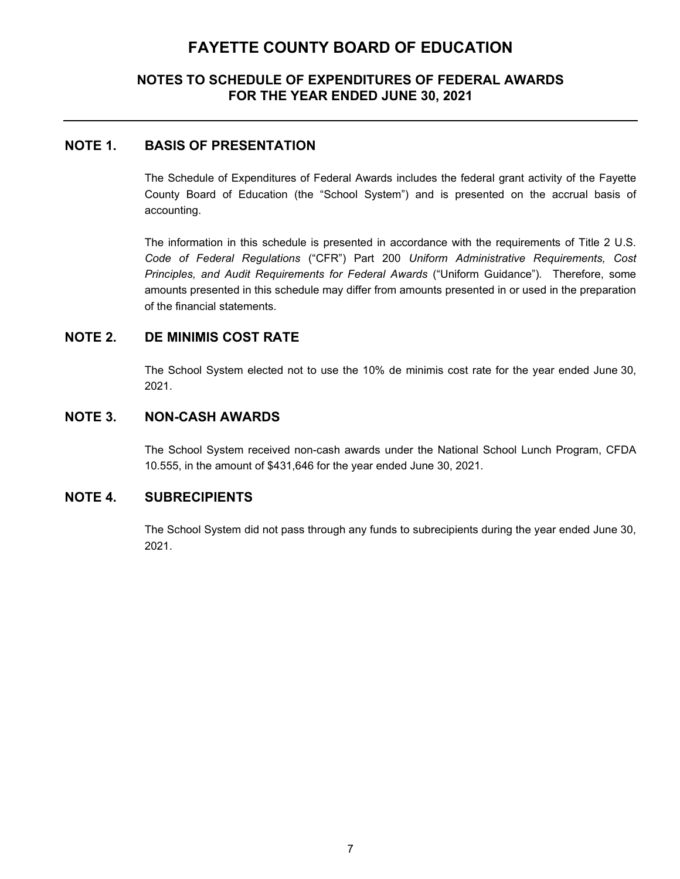## **NOTES TO SCHEDULE OF EXPENDITURES OF FEDERAL AWARDS FOR THE YEAR ENDED JUNE 30, 2021**

### **NOTE 1. BASIS OF PRESENTATION**

The Schedule of Expenditures of Federal Awards includes the federal grant activity of the Fayette County Board of Education (the "School System") and is presented on the accrual basis of accounting.

The information in this schedule is presented in accordance with the requirements of Title 2 U.S. *Code of Federal Regulations* ("CFR") Part 200 *Uniform Administrative Requirements, Cost Principles, and Audit Requirements for Federal Awards* ("Uniform Guidance")*.* Therefore, some amounts presented in this schedule may differ from amounts presented in or used in the preparation of the financial statements.

## **NOTE 2. DE MINIMIS COST RATE**

The School System elected not to use the 10% de minimis cost rate for the year ended June 30, 2021.

### **NOTE 3. NON-CASH AWARDS**

The School System received non-cash awards under the National School Lunch Program, CFDA 10.555, in the amount of \$431,646 for the year ended June 30, 2021.

### **NOTE 4. SUBRECIPIENTS**

The School System did not pass through any funds to subrecipients during the year ended June 30, 2021.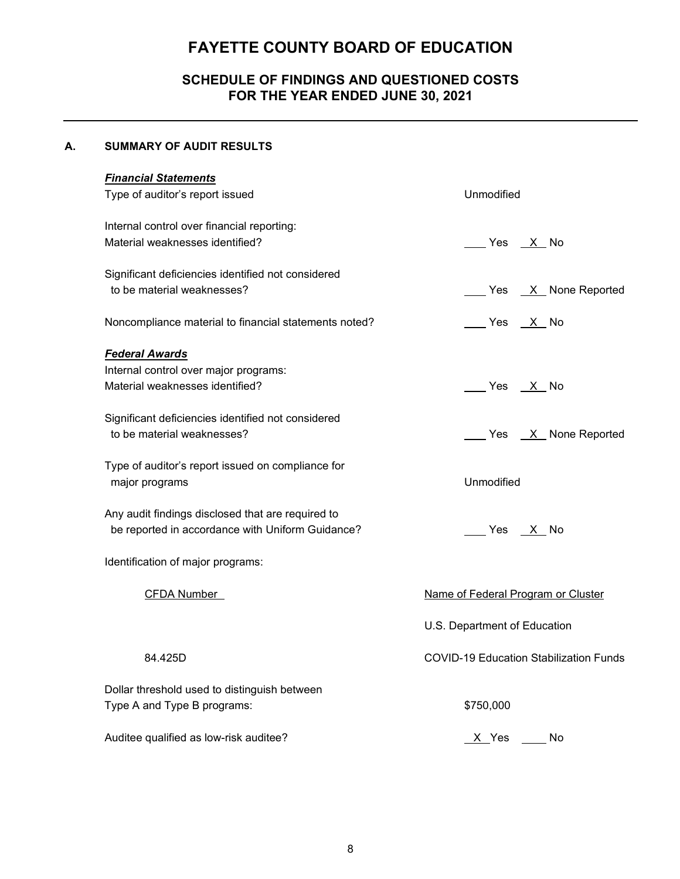# **SCHEDULE OF FINDINGS AND QUESTIONED COSTS FOR THE YEAR ENDED JUNE 30, 2021**

### **A. SUMMARY OF AUDIT RESULTS**

| <b>Financial Statements</b>                                                      |                                               |
|----------------------------------------------------------------------------------|-----------------------------------------------|
| Type of auditor's report issued                                                  | Unmodified                                    |
| Internal control over financial reporting:                                       |                                               |
| Material weaknesses identified?                                                  | ___ Yes __ <u>X</u> _ No                      |
|                                                                                  |                                               |
| Significant deficiencies identified not considered<br>to be material weaknesses? |                                               |
|                                                                                  | Yes <u>X</u> None Reported                    |
| Noncompliance material to financial statements noted?                            | Yes X No                                      |
| <b>Federal Awards</b>                                                            |                                               |
| Internal control over major programs:                                            |                                               |
| Material weaknesses identified?                                                  | Yes <u>X</u> No                               |
|                                                                                  |                                               |
| Significant deficiencies identified not considered                               |                                               |
| to be material weaknesses?                                                       | Yes X None Reported                           |
| Type of auditor's report issued on compliance for                                |                                               |
| major programs                                                                   | Unmodified                                    |
|                                                                                  |                                               |
| Any audit findings disclosed that are required to                                |                                               |
| be reported in accordance with Uniform Guidance?                                 | Yes X No                                      |
| Identification of major programs:                                                |                                               |
|                                                                                  |                                               |
| <b>CFDA Number</b>                                                               | Name of Federal Program or Cluster            |
|                                                                                  | U.S. Department of Education                  |
|                                                                                  |                                               |
| 84.425D                                                                          | <b>COVID-19 Education Stabilization Funds</b> |
| Dollar threshold used to distinguish between                                     |                                               |
| Type A and Type B programs:                                                      | \$750,000                                     |
|                                                                                  |                                               |
| Auditee qualified as low-risk auditee?                                           | X Yes<br>No                                   |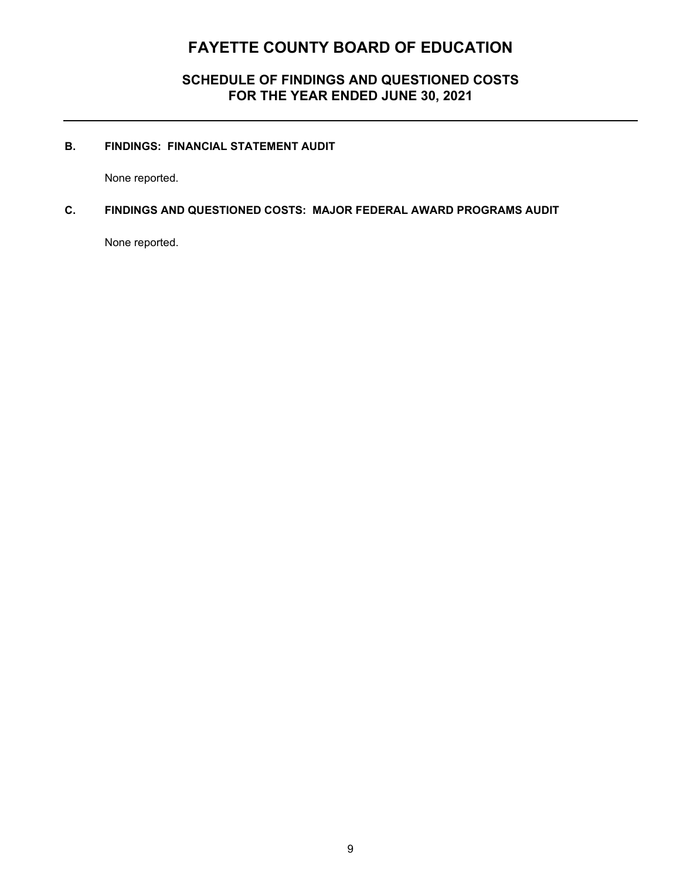## **SCHEDULE OF FINDINGS AND QUESTIONED COSTS FOR THE YEAR ENDED JUNE 30, 2021**

### **B. FINDINGS: FINANCIAL STATEMENT AUDIT**

None reported.

### **C. FINDINGS AND QUESTIONED COSTS: MAJOR FEDERAL AWARD PROGRAMS AUDIT**

None reported.